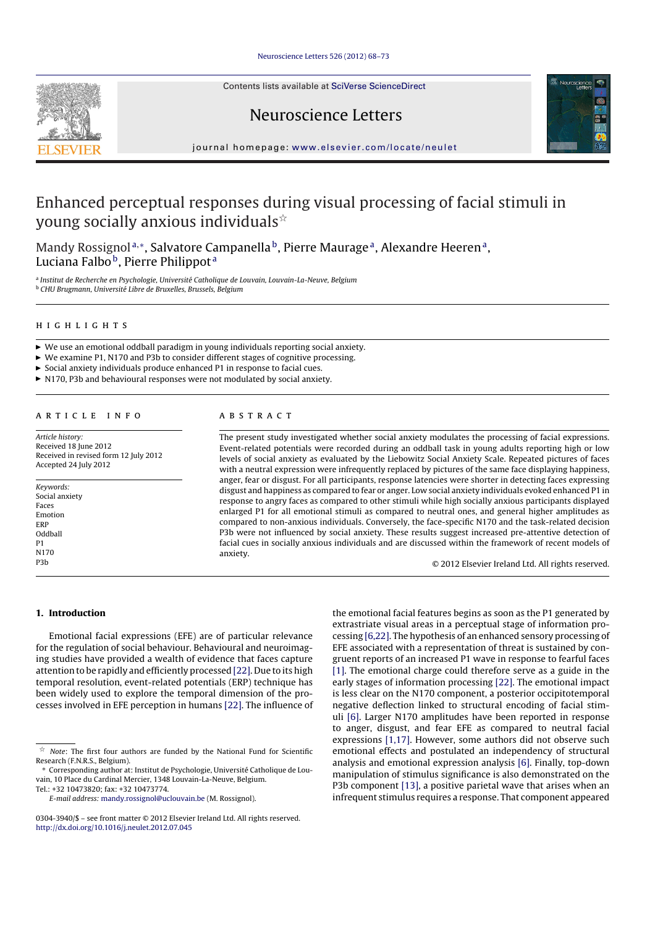#### Neuroscience Letters 526 (2012) 68–73

Contents lists available at SciVerse ScienceDirect





# Neuroscience Letters

journal homepage: www.elsevier.com/locate/neulet

# Enhanced perceptual responses during visual processing of facial stimuli in young socially anxious individuals $\dot{\mathbb{R}}$

Mandy Rossignol<sup>a,\*</sup>, Salvatore Campanella<sup>b</sup>, Pierre Maurage<sup>a</sup>, Alexandre Heeren<sup>a</sup>, Luciana Falbo<sup>b</sup>, Pierre Philippot<sup>a</sup>

<sup>a</sup> Institut de Recherche en Psychologie, Université Catholique de Louvain, Louvain-La-Neuve, Belgium <sup>b</sup> CHU Brugmann, Université Libre de Bruxelles, Brussels, Belgium

#### h i g h l i g h t s

- $\triangleright$  We use an emotional oddball paradigm in young individuals reporting social anxiety.
- ! We examine P1, N170 and P3b to consider different stages of cognitive processing.
- $\triangleright$  Social anxiety individuals produce enhanced P1 in response to facial cues.
- ! N170, P3b and behavioural responses were not modulated by social anxiety.

## a r t i c l e i n f o

Article history: Received 18 June 2012 Received in revised form 12 July 2012 Accepted 24 July 2012

Keywords: Social anxiety Faces Emotion ERP Oddball P1 N170 P3b

### A B S T R A C T

The present study investigated whether social anxiety modulates the processing of facial expressions. Event-related potentials were recorded during an oddball task in young adults reporting high or low levels of social anxiety as evaluated by the Liebowitz Social Anxiety Scale. Repeated pictures of faces with a neutral expression were infrequently replaced by pictures of the same face displaying happiness, anger, fear or disgust. For all participants, response latencies were shorter in detecting faces expressing disgust and happiness as compared to fear or anger. Low social anxiety individuals evoked enhanced P1 in response to angry faces as compared to other stimuli while high socially anxious participants displayed enlarged P1 for all emotional stimuli as compared to neutral ones, and general higher amplitudes as compared to non-anxious individuals. Conversely, the face-specific N170 and the task-related decision P3b were not influenced by social anxiety. These results suggest increased pre-attentive detection of facial cues in socially anxious individuals and are discussed within the framework of recent models of anxiety.

© 2012 Elsevier Ireland Ltd. All rights reserved.

#### 1. Introduction

Emotional facial expressions (EFE) are of particular relevance for the regulation of social behaviour. Behavioural and neuroimaging studies have provided a wealth of evidence that faces capture attention to be rapidly and efficiently processed [22]. Due to its high temporal resolution, event-related potentials (ERP) technique has been widely used to explore the temporal dimension of the processes involved in EFE perception in humans [22]. The influence of the emotional facial features begins as soon as the P1 generated by extrastriate visual areas in a perceptual stage of information processing [6,22]. The hypothesis of an enhanced sensory processing of EFE associated with a representation of threat is sustained by congruent reports of an increased P1 wave in response to fearful faces [1]. The emotional charge could therefore serve as a guide in the early stages of information processing [22]. The emotional impact is less clear on the N170 component, a posterior occipitotemporal negative deflection linked to structural encoding of facial stimuli [6]. Larger N170 amplitudes have been reported in response to anger, disgust, and fear EFE as compared to neutral facial expressions [1,17]. However, some authors did not observe such emotional effects and postulated an independency of structural analysis and emotional expression analysis [6]. Finally, top-down manipulation of stimulus significance is also demonstrated on the P3b component [13], a positive parietal wave that arises when an infrequent stimulus requires a response. That component appeared

 $\hat{X}$  Note: The first four authors are funded by the National Fund for Scientific Research (F.N.R.S., Belgium).

<sup>∗</sup> Corresponding author at: Institut de Psychologie, Université Catholique de Louvain, 10 Place du Cardinal Mercier, 1348 Louvain-La-Neuve, Belgium. Tel.: +32 10473820; fax: +32 10473774.

E-mail address: mandy.rossignol@uclouvain.be (M. Rossignol).

<sup>0304-3940/\$</sup> – see front matter © 2012 Elsevier Ireland Ltd. All rights reserved. http://dx.doi.org/10.1016/j.neulet.2012.07.045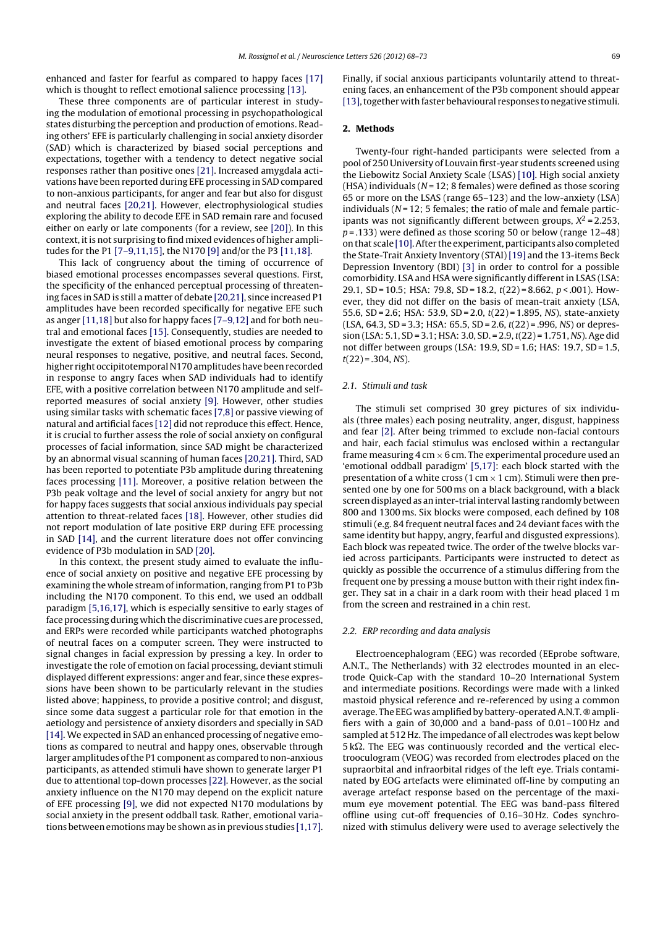enhanced and faster for fearful as compared to happy faces [17] which is thought to reflect emotional salience processing [13].

These three components are of particular interest in studying the modulation of emotional processing in psychopathological states disturbing the perception and production of emotions. Reading others' EFE is particularly challenging in social anxiety disorder (SAD) which is characterized by biased social perceptions and expectations, together with a tendency to detect negative social responses rather than positive ones [21]. Increased amygdala activations have been reported during EFE processing in SAD compared to non-anxious participants, for anger and fear but also for disgust and neutral faces [20,21]. However, electrophysiological studies exploring the ability to decode EFE in SAD remain rare and focused either on early or late components (for a review, see [20]). In this context, it is not surprising to find mixed evidences of higher amplitudes for the P1 [7–9,11,15], the N170 [9] and/or the P3 [11,18].

This lack of congruency about the timing of occurrence of biased emotional processes encompasses several questions. First, the specificity of the enhanced perceptual processing of threatening faces in SAD is still a matter of debate [20,21], since increased P1 amplitudes have been recorded specifically for negative EFE such as anger [11,18] but also for happy faces [7–9,12] and for both neutral and emotional faces [15]. Consequently, studies are needed to investigate the extent of biased emotional process by comparing neural responses to negative, positive, and neutral faces. Second, higher right occipitotemporal N170 amplitudes have been recorded in response to angry faces when SAD individuals had to identify EFE, with a positive correlation between N170 amplitude and selfreported measures of social anxiety [9]. However, other studies using similar tasks with schematic faces [7,8] or passive viewing of natural and artificial faces [12] did not reproduce this effect. Hence, it is crucial to further assess the role of social anxiety on configural processes of facial information, since SAD might be characterized by an abnormal visual scanning of human faces [20,21]. Third, SAD has been reported to potentiate P3b amplitude during threatening faces processing [11]. Moreover, a positive relation between the P3b peak voltage and the level of social anxiety for angry but not for happy faces suggests that social anxious individuals pay special attention to threat-related faces [18]. However, other studies did not report modulation of late positive ERP during EFE processing in SAD [14], and the current literature does not offer convincing evidence of P3b modulation in SAD [20].

In this context, the present study aimed to evaluate the influence of social anxiety on positive and negative EFE processing by examining the whole stream of information, ranging from P1 to P3b including the N170 component. To this end, we used an oddball paradigm [5,16,17], which is especially sensitive to early stages of face processing during which the discriminative cues are processed, and ERPs were recorded while participants watched photographs of neutral faces on a computer screen. They were instructed to signal changes in facial expression by pressing a key. In order to investigate the role of emotion on facial processing, deviant stimuli displayed different expressions: anger and fear, since these expressions have been shown to be particularly relevant in the studies listed above; happiness, to provide a positive control; and disgust, since some data suggest a particular role for that emotion in the aetiology and persistence of anxiety disorders and specially in SAD [14]. We expected in SAD an enhanced processing of negative emotions as compared to neutral and happy ones, observable through larger amplitudes of the P1 component as compared to non-anxious participants, as attended stimuli have shown to generate larger P1 due to attentional top-down processes [22]. However, as the social anxiety influence on the N170 may depend on the explicit nature of EFE processing [9], we did not expected N170 modulations by social anxiety in the present oddball task. Rather, emotional variations between emotions may be shown as in previous studies  $[1,17]$ .

Finally, if social anxious participants voluntarily attend to threatening faces, an enhancement of the P3b component should appear [13], together with faster behavioural responses to negative stimuli.

#### 2. Methods

Twenty-four right-handed participants were selected from a pool of 250 University of Louvain first-year students screened using the Liebowitz Social Anxiety Scale (LSAS) [10]. High social anxiety (HSA) individuals ( $N = 12$ ; 8 females) were defined as those scoring 65 or more on the LSAS (range 65–123) and the low-anxiety (LSA) individuals ( $N = 12$ ; 5 females; the ratio of male and female participants was not significantly different between groups,  $X^2$  = 2.253,  $p = .133$ ) were defined as those scoring 50 or below (range 12-48) onthat scale [10].After the experiment,participants also completed the State-Trait Anxiety Inventory (STAI) [19] and the 13-items Beck Depression Inventory (BDI) [3] in order to control for a possible comorbidity. LSA and HSA were significantly differentin LSAS (LSA: 29.1, SD = 10.5; HSA: 79.8, SD = 18.2,  $t(22)$  = 8.662,  $p < .001$ ). However, they did not differ on the basis of mean-trait anxiety (LSA, 55.6, SD = 2.6; HSA: 53.9, SD = 2.0, t(22) = 1.895, NS), state-anxiety  $(LSA, 64.3, SD = 3.3; HSA; 65.5, SD = 2.6, t(22) = .996, NS$  or depression (LSA: 5.1, SD = 3.1; HSA: 3.0, SD. = 2.9, t(22) = 1.751, NS). Age did not differ between groups (LSA: 19.9, SD = 1.6; HAS: 19.7, SD = 1.5,  $t(22) = .304, NS$ ).

#### 2.1. Stimuli and task

The stimuli set comprised 30 grey pictures of six individuals (three males) each posing neutrality, anger, disgust, happiness and fear [2]. After being trimmed to exclude non-facial contours and hair, each facial stimulus was enclosed within a rectangular frame measuring  $4 \text{ cm} \times 6 \text{ cm}$ . The experimental procedure used an 'emotional oddball paradigm' [5,17]: each block started with the presentation of a white cross (1 cm  $\times$  1 cm). Stimuli were then presented one by one for 500 ms on a black background, with a black screen displayed as an inter-trial interval lasting randomly between 800 and 1300 ms. Six blocks were composed, each defined by 108 stimuli (e.g. 84 frequent neutral faces and 24 deviant faces with the same identity but happy, angry, fearful and disgusted expressions). Each block was repeated twice. The order of the twelve blocks varied across participants. Participants were instructed to detect as quickly as possible the occurrence of a stimulus differing from the frequent one by pressing a mouse button with their right index finger. They sat in a chair in a dark room with their head placed 1 m from the screen and restrained in a chin rest.

#### 2.2. ERP recording and data analysis

Electroencephalogram (EEG) was recorded (EEprobe software, A.N.T., The Netherlands) with 32 electrodes mounted in an electrode Quick-Cap with the standard 10–20 International System and intermediate positions. Recordings were made with a linked mastoid physical reference and re-referenced by using a common average. The EEG was amplified by battery-operated A.N.T. ® amplifiers with a gain of 30,000 and a band-pass of 0.01–100 Hz and sampled at 512 Hz. The impedance of all electrodes was kept below  $5 k\Omega$ . The EEG was continuously recorded and the vertical electrooculogram (VEOG) was recorded from electrodes placed on the supraorbital and infraorbital ridges of the left eye. Trials contaminated by EOG artefacts were eliminated off-line by computing an average artefact response based on the percentage of the maximum eye movement potential. The EEG was band-pass filtered offline using cut-off frequencies of 0.16–30 Hz. Codes synchronized with stimulus delivery were used to average selectively the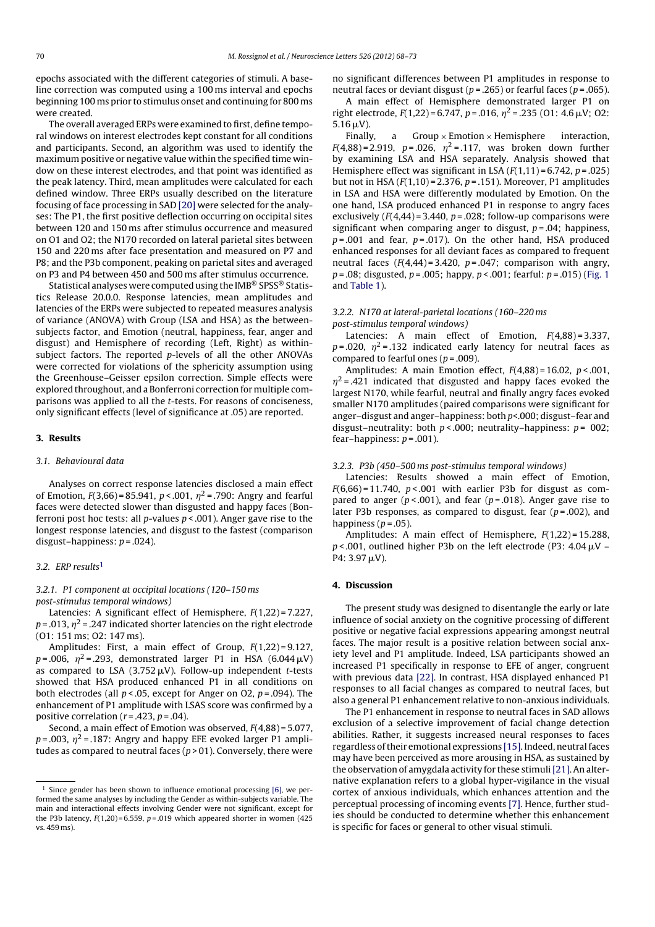epochs associated with the different categories of stimuli. A baseline correction was computed using a 100 ms interval and epochs beginning 100 ms prior to stimulus onset and continuing for 800 ms were created.

The overall averaged ERPs were examined to first, define temporal windows on interest electrodes kept constant for all conditions and participants. Second, an algorithm was used to identify the maximum positive or negative value within the specified time window on these interest electrodes, and that point was identified as the peak latency. Third, mean amplitudes were calculated for each defined window. Three ERPs usually described on the literature focusing of face processing in SAD [20] were selected for the analyses: The P1, the first positive deflection occurring on occipital sites between 120 and 150 ms after stimulus occurrence and measured on O1 and O2; the N170 recorded on lateral parietal sites between 150 and 220 ms after face presentation and measured on P7 and P8; and the P3b component, peaking on parietal sites and averaged on P3 and P4 between 450 and 500 ms after stimulus occurrence.

Statistical analyses were computed using the IMB® SPSS® Statistics Release 20.0.0. Response latencies, mean amplitudes and latencies of the ERPs were subjected to repeated measures analysis of variance (ANOVA) with Group (LSA and HSA) as the betweensubjects factor, and Emotion (neutral, happiness, fear, anger and disgust) and Hemisphere of recording (Left, Right) as withinsubject factors. The reported p-levels of all the other ANOVAs were corrected for violations of the sphericity assumption using the Greenhouse–Geisser epsilon correction. Simple effects were explored throughout, and a Bonferroni correction for multiple comparisons was applied to all the t-tests. For reasons of conciseness, only significant effects (level of significance at .05) are reported.

#### 3. Results

#### 3.1. Behavioural data

Analyses on correct response latencies disclosed a main effect of Emotion,  $F(3,66) = 85.941$ ,  $p < .001$ ,  $\eta^2 = .790$ : Angry and fearful faces were detected slower than disgusted and happy faces (Bonferroni post hoc tests: all *p*-values  $p < .001$ ). Anger gave rise to the longest response latencies, and disgust to the fastest (comparison disgust–happiness:  $p = .024$ ).

### 3.2. ERP results<sup>1</sup>

3.2.1. P1 component at occipital locations (120–150 ms post-stimulus temporal windows)

Latencies: A significant effect of Hemisphere, F(1,22) = 7.227,  $p = 0.013$ ,  $n^2 = 0.247$  indicated shorter latencies on the right electrode (O1: 151 ms; O2: 147 ms).

Amplitudes: First, a main effect of Group,  $F(1,22) = 9.127$ ,  $p = .006$ ,  $\eta^2 = .293$ , demonstrated larger P1 in HSA (6.044  $\mu$ V) as compared to LSA (3.752  $\mu$ V). Follow-up independent *t*-tests showed that HSA produced enhanced P1 in all conditions on both electrodes (all  $p < .05$ , except for Anger on O2,  $p = .094$ ). The enhancement of P1 amplitude with LSAS score was confirmed by a positive correlation ( $r = .423$ ,  $p = .04$ ).

Second, a main effect of Emotion was observed, F(4,88) = 5.077,  $p = .003$ ,  $\eta^2 = .187$ : Angry and happy EFE evoked larger P1 amplitudes as compared to neutral faces ( $p > 01$ ). Conversely, there were no significant differences between P1 amplitudes in response to neutral faces or deviant disgust ( $p = .265$ ) or fearful faces ( $p = .065$ ).

A main effect of Hemisphere demonstrated larger P1 on right electrode,  $F(1,22) = 6.747$ ,  $p = .016$ ,  $\eta^2 = .235$  (01: 4.6  $\mu$ V; 02:  $5.16 \,\mu\text{V}$ ).

Finally, a  $Group \times Emotion \times Hemisphere$  interaction,  $F(4,88) = 2.919$ ,  $p = .026$ ,  $\eta^2 = .117$ , was broken down further by examining LSA and HSA separately. Analysis showed that Hemisphere effect was significant in LSA  $(F(1,11) = 6.742, p = .025)$ but not in HSA  $(F(1,10) = 2.376, p = .151)$ . Moreover, P1 amplitudes in LSA and HSA were differently modulated by Emotion. On the one hand, LSA produced enhanced P1 in response to angry faces exclusively  $(F(4,44) = 3.440, p = .028;$  follow-up comparisons were significant when comparing anger to disgust,  $p = .04$ ; happiness,  $p = .001$  and fear,  $p = .017$ ). On the other hand, HSA produced enhanced responses for all deviant faces as compared to frequent neutral faces  $(F(4,44) = 3.420, p = .047;$  comparison with angry,  $p = .08$ ; disgusted,  $p = .005$ ; happy,  $p < .001$ ; fearful:  $p = .015$ ) (Fig. 1 and Table 1).

## 3.2.2. N170 at lateral-parietal locations (160–220 ms post-stimulus temporal windows)

Latencies: A main effect of Emotion,  $F(4,88) = 3.337$ ,  $p = .020$ ,  $\eta^2 = .132$  indicated early latency for neutral faces as compared to fearful ones ( $p = .009$ ).

Amplitudes: A main Emotion effect,  $F(4,88) = 16.02$ ,  $p < .001$ ,  $\eta^2$  = .421 indicated that disgusted and happy faces evoked the largest N170, while fearful, neutral and finally angry faces evoked smaller N170 amplitudes (paired comparisons were significant for anger–disgust and anger–happiness: both p<.000; disgust–fear and disgust–neutrality: both  $p < .000$ ; neutrality–happiness:  $p = 002$ ; fear–happiness:  $p = .001$ ).

#### 3.2.3. P3b (450–500 ms post-stimulus temporal windows)

Latencies: Results showed a main effect of Emotion,  $F(6,66) = 11.740$ ,  $p < .001$  with earlier P3b for disgust as compared to anger ( $p < .001$ ), and fear ( $p = .018$ ). Anger gave rise to later P3b responses, as compared to disgust, fear  $(p = .002)$ , and happiness ( $p = .05$ ).

Amplitudes: A main effect of Hemisphere,  $F(1,22) = 15.288$ ,  $p$  < .001, outlined higher P3b on the left electrode (P3: 4.04  $\mu$ V – P4:  $3.97 \mu V$ ).

## 4. Discussion

The present study was designed to disentangle the early or late influence of social anxiety on the cognitive processing of different positive or negative facial expressions appearing amongst neutral faces. The major result is a positive relation between social anxiety level and P1 amplitude. Indeed, LSA participants showed an increased P1 specifically in response to EFE of anger, congruent with previous data [22]. In contrast, HSA displayed enhanced P1 responses to all facial changes as compared to neutral faces, but also a general P1 enhancement relative to non-anxious individuals.

The P1 enhancement in response to neutral faces in SAD allows exclusion of a selective improvement of facial change detection abilities. Rather, it suggests increased neural responses to faces regardless of their emotional expressions [15]. Indeed, neutral faces may have been perceived as more arousing in HSA, as sustained by the observation of amygdala activity for these stimuli[21]. An alternative explanation refers to a global hyper-vigilance in the visual cortex of anxious individuals, which enhances attention and the perceptual processing of incoming events [7]. Hence, further studies should be conducted to determine whether this enhancement is specific for faces or general to other visual stimuli.

 $1$  Since gender has been shown to influence emotional processing [6], we performed the same analyses by including the Gender as within-subjects variable. The main and interactional effects involving Gender were not significant, except for the P3b latency,  $F(1,20) = 6.559$ ,  $p = .019$  which appeared shorter in women (425) vs. 459 ms).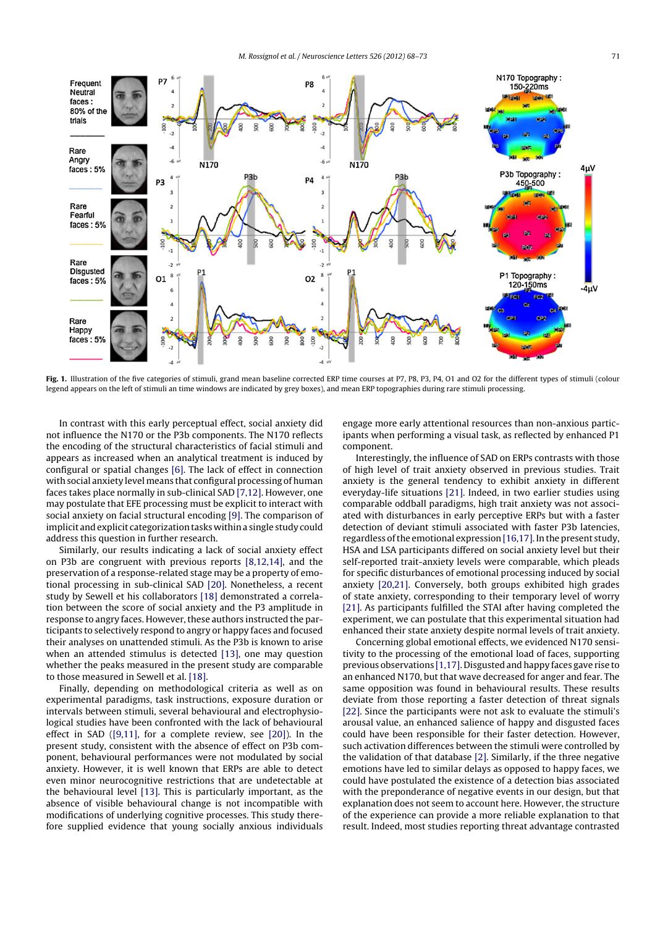

Fig. 1. Illustration of the five categories of stimuli, grand mean baseline corrected ERP time courses at P7, P8, P3, P4, O1 and O2 for the different types of stimuli (colour legend appears on the left of stimuli an time windows are indicated by grey boxes), and mean ERP topographies during rare stimuli processing.

In contrast with this early perceptual effect, social anxiety did not influence the N170 or the P3b components. The N170 reflects the encoding of the structural characteristics of facial stimuli and appears as increased when an analytical treatment is induced by configural or spatial changes [6]. The lack of effect in connection with social anxiety level means that configural processing of human faces takes place normally in sub-clinical SAD [7,12]. However, one may postulate that EFE processing must be explicit to interact with social anxiety on facial structural encoding [9]. The comparison of implicit and explicit categorization tasks within a single study could address this question in further research.

Similarly, our results indicating a lack of social anxiety effect on P3b are congruent with previous reports [8,12,14], and the preservation of a response-related stage may be a property of emotional processing in sub-clinical SAD [20]. Nonetheless, a recent study by Sewell et his collaborators [18] demonstrated a correlation between the score of social anxiety and the P3 amplitude in response to angry faces. However, these authors instructed the participants to selectively respond to angry or happy faces and focused their analyses on unattended stimuli. As the P3b is known to arise when an attended stimulus is detected [13], one may question whether the peaks measured in the present study are comparable to those measured in Sewell et al. [18].

Finally, depending on methodological criteria as well as on experimental paradigms, task instructions, exposure duration or intervals between stimuli, several behavioural and electrophysiological studies have been confronted with the lack of behavioural effect in SAD ([9,11], for a complete review, see [20]). In the present study, consistent with the absence of effect on P3b component, behavioural performances were not modulated by social anxiety. However, it is well known that ERPs are able to detect even minor neurocognitive restrictions that are undetectable at the behavioural level [13]. This is particularly important, as the absence of visible behavioural change is not incompatible with modifications of underlying cognitive processes. This study therefore supplied evidence that young socially anxious individuals engage more early attentional resources than non-anxious participants when performing a visual task, as reflected by enhanced P1 component.

Interestingly, the influence of SAD on ERPs contrasts with those of high level of trait anxiety observed in previous studies. Trait anxiety is the general tendency to exhibit anxiety in different everyday-life situations [21]. Indeed, in two earlier studies using comparable oddball paradigms, high trait anxiety was not associated with disturbances in early perceptive ERPs but with a faster detection of deviant stimuli associated with faster P3b latencies, regardless of the emotional expression [16,17]. In the present study, HSA and LSA participants differed on social anxiety level but their self-reported trait-anxiety levels were comparable, which pleads for specific disturbances of emotional processing induced by social anxiety [20,21]. Conversely, both groups exhibited high grades of state anxiety, corresponding to their temporary level of worry [21]. As participants fulfilled the STAI after having completed the experiment, we can postulate that this experimental situation had enhanced their state anxiety despite normal levels of trait anxiety.

Concerning global emotional effects, we evidenced N170 sensitivity to the processing of the emotional load of faces, supporting previous observations [1,17]. Disgusted and happy faces gave rise to an enhanced N170, but that wave decreased for anger and fear. The same opposition was found in behavioural results. These results deviate from those reporting a faster detection of threat signals [22]. Since the participants were not ask to evaluate the stimuli's arousal value, an enhanced salience of happy and disgusted faces could have been responsible for their faster detection. However, such activation differences between the stimuli were controlled by the validation of that database [2]. Similarly, if the three negative emotions have led to similar delays as opposed to happy faces, we could have postulated the existence of a detection bias associated with the preponderance of negative events in our design, but that explanation does not seem to account here. However, the structure of the experience can provide a more reliable explanation to that result. Indeed, most studies reporting threat advantage contrasted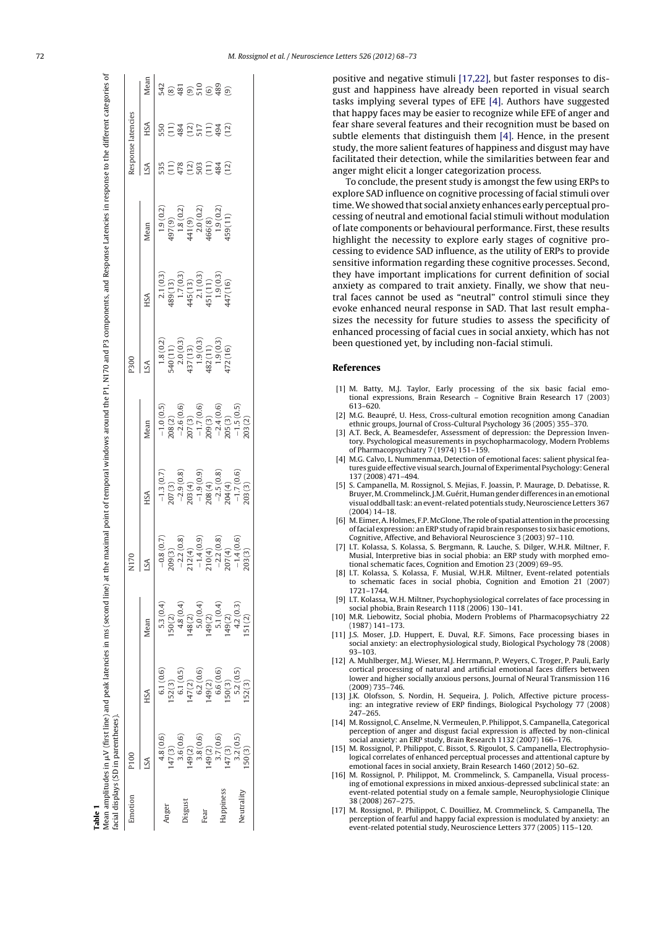| Table 1    | facial displays (SD in parentheses) |          |                         | /lean amplitudes in µV (first line) and peak latencies in ms (second line) at the maximal point of temporal windows around the P1, N170 and P3 components, and Response Latencies in response to the different categories of |                                                                                                                                                                   |                                                                                                                                                      |                                                                                                                                                                                                                                                                                                  |                                                                                                                                                   |                                                                                                                                                                                                                |                  |                    |                                                                       |
|------------|-------------------------------------|----------|-------------------------|------------------------------------------------------------------------------------------------------------------------------------------------------------------------------------------------------------------------------|-------------------------------------------------------------------------------------------------------------------------------------------------------------------|------------------------------------------------------------------------------------------------------------------------------------------------------|--------------------------------------------------------------------------------------------------------------------------------------------------------------------------------------------------------------------------------------------------------------------------------------------------|---------------------------------------------------------------------------------------------------------------------------------------------------|----------------------------------------------------------------------------------------------------------------------------------------------------------------------------------------------------------------|------------------|--------------------|-----------------------------------------------------------------------|
| Emotion    | P100                                |          |                         | N170                                                                                                                                                                                                                         |                                                                                                                                                                   |                                                                                                                                                      | P300                                                                                                                                                                                                                                                                                             |                                                                                                                                                   |                                                                                                                                                                                                                |                  | Response latencies |                                                                       |
|            | SA                                  | HSA      | Vlean                   | $S_A$                                                                                                                                                                                                                        | НSА                                                                                                                                                               | Mean                                                                                                                                                 | SA                                                                                                                                                                                                                                                                                               | НSА                                                                                                                                               | Mean                                                                                                                                                                                                           | SA               | НSА                | Mean                                                                  |
|            | 4.8(0.6)                            | 6.1(0.6) | 5.3(0.4)                | (0.7)<br>$-0.8($                                                                                                                                                                                                             |                                                                                                                                                                   |                                                                                                                                                      |                                                                                                                                                                                                                                                                                                  |                                                                                                                                                   |                                                                                                                                                                                                                | 55               | 50                 | 542                                                                   |
| Anger      | 47(3)                               | 152(3)   | 50(2)                   | 209(3)                                                                                                                                                                                                                       |                                                                                                                                                                   |                                                                                                                                                      |                                                                                                                                                                                                                                                                                                  |                                                                                                                                                   |                                                                                                                                                                                                                |                  |                    |                                                                       |
|            | 3.6(0.6)                            | 6.1(0.5) | 4.8 (0.4)               | (0.8)<br>$-2.2$                                                                                                                                                                                                              |                                                                                                                                                                   |                                                                                                                                                      |                                                                                                                                                                                                                                                                                                  |                                                                                                                                                   |                                                                                                                                                                                                                | 178              | 184                |                                                                       |
| Jisgust    | 149(2)                              | 147(2)   | 148(2)                  |                                                                                                                                                                                                                              | $\begin{array}{l} -1.3\ (0.7) \\ -2207\ (3) \\ -2.9\ (0.8) \\ -1.9\ (0.9) \\ -1.9\ (0.9) \\ -1.9\ (0.9) \\ -2.5\ (0.8) \\ -2.5\ (0.8) \\ -1.7\ (0.6) \end{array}$ | $\begin{array}{l} -1.0\,(0.5)\\ -2.6\,(0.6)\\ -2.6\,(0.6)\\ 207\,(3)\\ -1.7\,(0.6)\\ 209\,(3)\\ -2.4\,(0.6)\\ -2.4\,(0.6)\\ -1.5\,(0.5) \end{array}$ | $\begin{array}{l} 1.8\ (0.2) \\ 540\ (1\ 1) \\ 2.0\ (0.3) \\ 437\ (1\ 3) \\ 1.9\ (0.3) \\ 482\ (1\ 1) \\ 1.9\ (0.3) \\ 1.9\ (0.3) \\ 1.9\ (0.3) \\ 1.9\ (0.3) \\ 1.9\ (0.3) \\ 1.9\ (0.3) \\ 1.9\ (0.3) \\ 1.9\ (0.3) \\ 1.9\ (0.3) \\ 1.9\ (0.3) \\ 1.9\ (0.3) \\ 1.9\ (0.3) \\ 1.9\ (0.3) \\ $ | $\begin{array}{c} 2.1\,(0.3)\\ 489\,(1.3)\\ 1.7\,(0.3)\\ 445\,(1.3)\\ 2.1\,(0.3)\\ 451\,(1.1)\\ 1.9\,(0.3)\\ 1.9\,(0.3)\\ 447\,(1.6) \end{array}$ | $\begin{array}{l} 1.9 \ (0.2) \\ 497 \, (9) \\ 1.8 \ (0.2) \\ 441 \ (9) \\ 2.0 \ (0.2) \\ 466 \, (8) \\ 1.9 \ (0.2) \\ 1.9 \ (0.2) \\ 1.9 \ (0.2) \\ 1.9 \ (0.2) \\ 456 \, (11) \\ 459 \, (11) \\ \end{array}$ | $\overline{12}$  | $\frac{12}{17}$    | $\frac{2}{2}$ $\frac{2}{3}$ $\frac{2}{3}$ $\frac{2}{3}$ $\frac{2}{3}$ |
|            | 3.8(0.6)                            | 6.2(0.6) | 5.0(0.4)                | $212(4)$<br>-1.4 (0.9)                                                                                                                                                                                                       |                                                                                                                                                                   |                                                                                                                                                      |                                                                                                                                                                                                                                                                                                  |                                                                                                                                                   |                                                                                                                                                                                                                | $\tilde{C}$      |                    |                                                                       |
| Fear       | $149(2)$<br>3.7(0.6)                | 149(2)   | $149(2)$<br>5.1 $(0.4)$ | 210(4)                                                                                                                                                                                                                       |                                                                                                                                                                   |                                                                                                                                                      |                                                                                                                                                                                                                                                                                                  |                                                                                                                                                   |                                                                                                                                                                                                                | $\frac{11}{134}$ | $\Xi \frac{3}{2}$  | $\widehat{S}$                                                         |
|            |                                     | 6.6(0.6) |                         | $-2.2(0.8)$                                                                                                                                                                                                                  |                                                                                                                                                                   |                                                                                                                                                      |                                                                                                                                                                                                                                                                                                  |                                                                                                                                                   |                                                                                                                                                                                                                |                  |                    | 489                                                                   |
| lappiness  | 147(3)                              | 50(3)    |                         | 207(4)                                                                                                                                                                                                                       |                                                                                                                                                                   |                                                                                                                                                      |                                                                                                                                                                                                                                                                                                  |                                                                                                                                                   |                                                                                                                                                                                                                | (2)              | (2)                |                                                                       |
|            | 3.2(0.5)                            | 5.2(0.5) | $149(2)$<br>$4.2(0.3)$  | (0.6)<br>$-1.4($                                                                                                                                                                                                             |                                                                                                                                                                   |                                                                                                                                                      |                                                                                                                                                                                                                                                                                                  |                                                                                                                                                   |                                                                                                                                                                                                                |                  |                    |                                                                       |
| Veutrality | 50(3)                               | 52(3)    | 51(2)                   | 203(3)                                                                                                                                                                                                                       |                                                                                                                                                                   |                                                                                                                                                      |                                                                                                                                                                                                                                                                                                  |                                                                                                                                                   |                                                                                                                                                                                                                |                  |                    |                                                                       |

anger might elicit a longer categorization process. To conclude, the present study is amongst the few using ERPs to explore SAD influence on cognitive processing of facial stimuli over time.We showed that social anxiety enhances early perceptual processing of neutral and emotional facial stimuli without modulation of late components or behavioural performance. First, these results highlight the necessity to explore early stages of cognitive processing to evidence SAD influence, as the utility of ERPs to provide sensitive information regarding these cognitive processes. Second, they have important implications for current definition of social anxiety as compared to trait anxiety. Finally, we show that neutral faces cannot be used as "neutral" control stimuli since they evoke enhanced neural response in SAD. That last result emphasizes the necessity for future studies to assess the specificity of enhanced processing of facial cues in social anxiety, which has not been questioned yet, by including non-facial stimuli.

facilitated their detection, while the similarities between fear and

## References

- [1] M. Batty, M.J. Taylor, Early processing of the six basic facial emotional expressions, Brain Research – Cognitive Brain Research 17 (2003) 613–620.
- [2] M.G. Beaupré, U. Hess, Cross-cultural emotion recognition among Canadian ethnic groups, Journal of Cross-Cultural Psychology 36 (2005) 355–370.
- [3] A.T. Beck, A. Beamesdefer, Assessment of depression: the Depression Inventory. Psychological measurements in psychopharmacology, Modern Problems of Pharmacopsychiatry 7 (1974) 151–159.
- [4] M.G. Calvo, L. Nummenmaa, Detection of emotional faces: salient physical features guide effective visual search, Journal of Experimental Psychology: General 137 (2008) 471–494.
- [5] S. Campanella, M. Rossignol, S. Mejias, F. Joassin, P. Maurage, D. Debatisse, R. Bruyer, M. Crommelinck, J.M. Guérit, Human gender differences in an emotional visual oddballtask: an event-related potentials study, Neuroscience Letters 367 (2004) 14–18.
- [6] M. Eimer,A. Holmes, F.P.McGlone, The role of spatial attention in the processing offacial expression: an ERP study of rapid brain responses to six basic emotions, Cognitive, Affective, and Behavioral Neuroscience 3 (2003) 97–110.
- [7] I.T. Kolassa, S. Kolassa, S. Bergmann, R. Lauche, S. Dilger, W.H.R. Miltner, F. Musial, Interpretive bias in social phobia: an ERP study with morphed emotional schematic faces, Cognition and Emotion 23 (2009) 69–95.
- [8] I.T. Kolassa, S. Kolassa, F. Musial, W.H.R. Miltner, Event-related potentials to schematic faces in social phobia, Cognition and Emotion 21 (2007) 1721–1744.
- [9] I.T. Kolassa, W.H. Miltner, Psychophysiological correlates of face processing in social phobia, Brain Research 1118 (2006) 130–141.
- [10] M.R. Liebowitz, Social phobia, Modern Problems of Pharmacopsychiatry 22 (1987) 141–173.
- [11] J.S. Moser, J.D. Huppert, E. Duval, R.F. Simons, Face processing biases in social anxiety: an electrophysiological study, Biological Psychology 78 (2008) 93–103.
- [12] A. Muhlberger, M.J. Wieser, M.J. Herrmann, P. Weyers, C. Troger, P. Pauli, Early cortical processing of natural and artificial emotional faces differs between lower and higher socially anxious persons, Journal of Neural Transmission 116 (2009) 735–746.
- [13] J.K. Olofsson, S. Nordin, H. Sequeira, J. Polich, Affective picture processing: an integrative review of ERP findings, Biological Psychology 77 (2008) 247–265.
- [14] M. Rossignol, C. Anselme, N. Vermeulen, P. Philippot, S. Campanella, Categorical perception of anger and disgust facial expression is affected by non-clinical social anxiety: an ERP study, Brain Research 1132 (2007) 166–176.
- [15] M. Rossignol, P. Philippot, C. Bissot, S. Rigoulot, S. Campanella, Electrophysiological correlates of enhanced perceptual processes and attentional capture by emotional faces in social anxiety, Brain Research 1460 (2012) 50–62.
- [16] M. Rossignol, P. Philippot, M. Crommelinck, S. Campanella, Visual processing of emotional expressions in mixed anxious-depressed subclinical state: an event-related potential study on a female sample, Neurophysiologie Clinique 38 (2008) 267–275.
- [17] M. Rossignol, P. Philippot, C. Douilliez, M. Crommelinck, S. Campanella, The perception of fearful and happy facial expression is modulated by anxiety: an event-related potential study, Neuroscience Letters 377 (2005) 115–120.